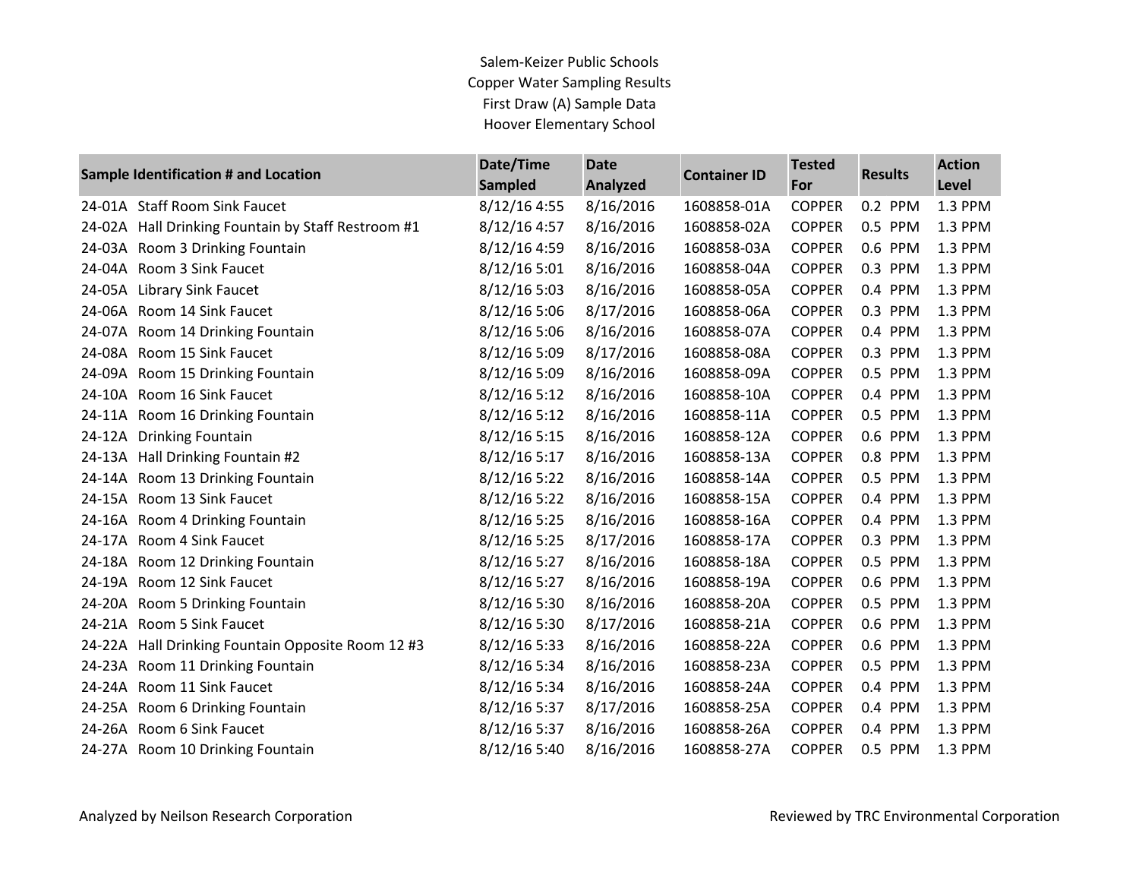## Salem-Keizer Public Schools Copper Water Sampling Results First Draw (A) Sample Data Hoover Elementary School

| <b>Sample Identification # and Location</b> |                                             | Date/Time      | <b>Date</b>     | <b>Container ID</b> | <b>Tested</b> | <b>Results</b> | <b>Action</b> |
|---------------------------------------------|---------------------------------------------|----------------|-----------------|---------------------|---------------|----------------|---------------|
|                                             |                                             | <b>Sampled</b> | <b>Analyzed</b> |                     | For           |                | <b>Level</b>  |
|                                             | 24-01A Staff Room Sink Faucet               | 8/12/16 4:55   | 8/16/2016       | 1608858-01A         | <b>COPPER</b> | 0.2 PPM        | 1.3 PPM       |
| 24-02A                                      | Hall Drinking Fountain by Staff Restroom #1 | 8/12/16 4:57   | 8/16/2016       | 1608858-02A         | <b>COPPER</b> | 0.5 PPM        | 1.3 PPM       |
| 24-03A                                      | Room 3 Drinking Fountain                    | 8/12/16 4:59   | 8/16/2016       | 1608858-03A         | <b>COPPER</b> | 0.6 PPM        | 1.3 PPM       |
| 24-04A                                      | Room 3 Sink Faucet                          | 8/12/16 5:01   | 8/16/2016       | 1608858-04A         | <b>COPPER</b> | 0.3 PPM        | 1.3 PPM       |
| 24-05A                                      | <b>Library Sink Faucet</b>                  | 8/12/16 5:03   | 8/16/2016       | 1608858-05A         | <b>COPPER</b> | 0.4 PPM        | 1.3 PPM       |
| 24-06A                                      | Room 14 Sink Faucet                         | 8/12/16 5:06   | 8/17/2016       | 1608858-06A         | <b>COPPER</b> | 0.3 PPM        | 1.3 PPM       |
| 24-07A                                      | Room 14 Drinking Fountain                   | 8/12/16 5:06   | 8/16/2016       | 1608858-07A         | <b>COPPER</b> | 0.4 PPM        | 1.3 PPM       |
| 24-08A                                      | Room 15 Sink Faucet                         | 8/12/16 5:09   | 8/17/2016       | 1608858-08A         | <b>COPPER</b> | 0.3 PPM        | 1.3 PPM       |
| 24-09A                                      | Room 15 Drinking Fountain                   | 8/12/16 5:09   | 8/16/2016       | 1608858-09A         | <b>COPPER</b> | 0.5 PPM        | 1.3 PPM       |
| 24-10A                                      | Room 16 Sink Faucet                         | 8/12/16 5:12   | 8/16/2016       | 1608858-10A         | <b>COPPER</b> | 0.4 PPM        | 1.3 PPM       |
| 24-11A                                      | Room 16 Drinking Fountain                   | 8/12/16 5:12   | 8/16/2016       | 1608858-11A         | <b>COPPER</b> | 0.5 PPM        | 1.3 PPM       |
| 24-12A                                      | <b>Drinking Fountain</b>                    | 8/12/16 5:15   | 8/16/2016       | 1608858-12A         | <b>COPPER</b> | 0.6 PPM        | 1.3 PPM       |
| 24-13A                                      | Hall Drinking Fountain #2                   | 8/12/16 5:17   | 8/16/2016       | 1608858-13A         | <b>COPPER</b> | 0.8 PPM        | 1.3 PPM       |
| 24-14A                                      | Room 13 Drinking Fountain                   | 8/12/16 5:22   | 8/16/2016       | 1608858-14A         | <b>COPPER</b> | 0.5 PPM        | 1.3 PPM       |
| 24-15A                                      | Room 13 Sink Faucet                         | 8/12/16 5:22   | 8/16/2016       | 1608858-15A         | <b>COPPER</b> | 0.4 PPM        | 1.3 PPM       |
| 24-16A                                      | Room 4 Drinking Fountain                    | 8/12/16 5:25   | 8/16/2016       | 1608858-16A         | <b>COPPER</b> | 0.4 PPM        | 1.3 PPM       |
| 24-17A                                      | Room 4 Sink Faucet                          | 8/12/16 5:25   | 8/17/2016       | 1608858-17A         | <b>COPPER</b> | 0.3 PPM        | 1.3 PPM       |
|                                             | 24-18A Room 12 Drinking Fountain            | 8/12/16 5:27   | 8/16/2016       | 1608858-18A         | <b>COPPER</b> | 0.5 PPM        | 1.3 PPM       |
| 24-19A                                      | Room 12 Sink Faucet                         | 8/12/16 5:27   | 8/16/2016       | 1608858-19A         | <b>COPPER</b> | 0.6 PPM        | 1.3 PPM       |
| 24-20A                                      | Room 5 Drinking Fountain                    | 8/12/16 5:30   | 8/16/2016       | 1608858-20A         | <b>COPPER</b> | 0.5 PPM        | 1.3 PPM       |
| 24-21A                                      | Room 5 Sink Faucet                          | 8/12/16 5:30   | 8/17/2016       | 1608858-21A         | <b>COPPER</b> | 0.6 PPM        | 1.3 PPM       |
| 24-22A                                      | Hall Drinking Fountain Opposite Room 12 #3  | 8/12/16 5:33   | 8/16/2016       | 1608858-22A         | <b>COPPER</b> | 0.6 PPM        | 1.3 PPM       |
| 24-23A                                      | Room 11 Drinking Fountain                   | 8/12/16 5:34   | 8/16/2016       | 1608858-23A         | <b>COPPER</b> | 0.5 PPM        | 1.3 PPM       |
| 24-24A                                      | Room 11 Sink Faucet                         | 8/12/16 5:34   | 8/16/2016       | 1608858-24A         | <b>COPPER</b> | 0.4 PPM        | 1.3 PPM       |
| 24-25A                                      | Room 6 Drinking Fountain                    | 8/12/16 5:37   | 8/17/2016       | 1608858-25A         | <b>COPPER</b> | 0.4 PPM        | 1.3 PPM       |
|                                             | 24-26A Room 6 Sink Faucet                   | 8/12/16 5:37   | 8/16/2016       | 1608858-26A         | <b>COPPER</b> | 0.4 PPM        | 1.3 PPM       |
|                                             | 24-27A Room 10 Drinking Fountain            | 8/12/16 5:40   | 8/16/2016       | 1608858-27A         | <b>COPPER</b> | 0.5 PPM        | 1.3 PPM       |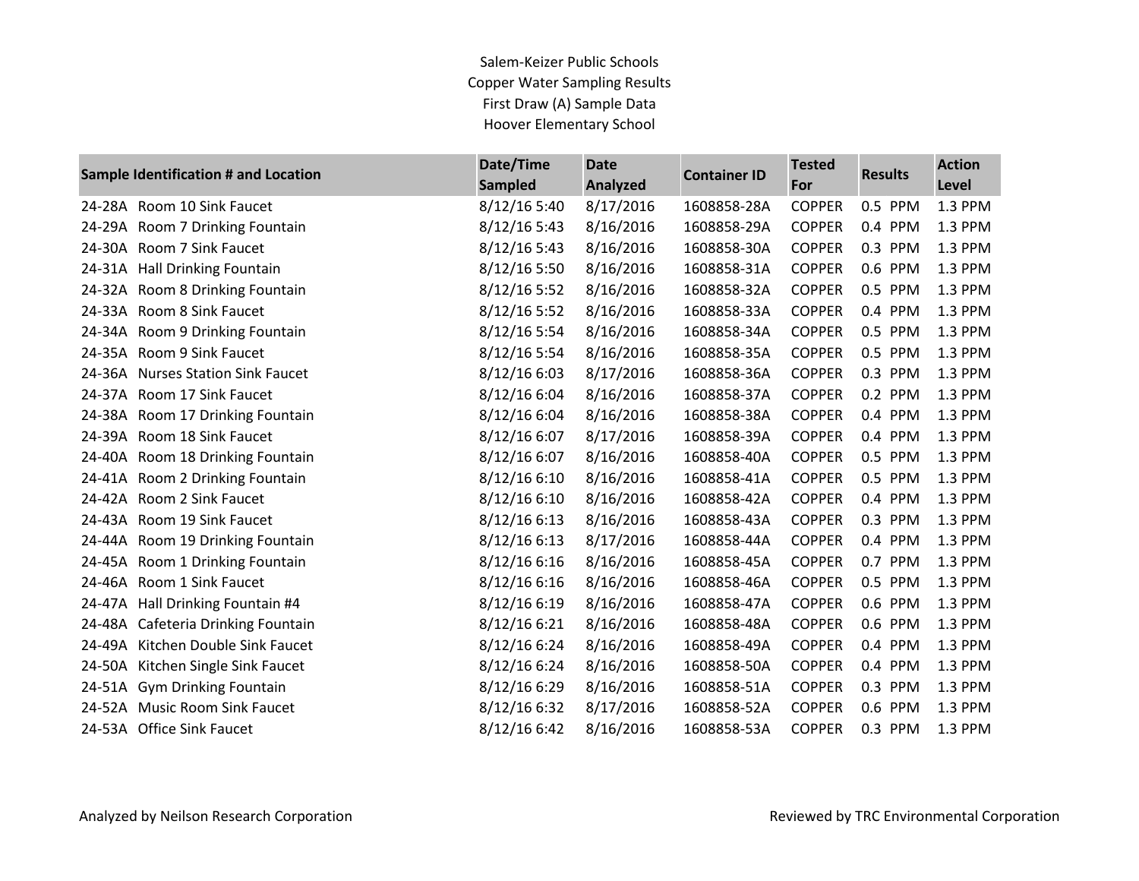Salem-Keizer Public Schools Copper Water Sampling Results First Draw (A) Sample Data Hoover Elementary School

|        | Sample Identification # and Location | Date/Time<br><b>Sampled</b> | <b>Date</b><br>Analyzed | <b>Container ID</b> | <b>Tested</b><br>For | <b>Results</b> | <b>Action</b><br><b>Level</b> |
|--------|--------------------------------------|-----------------------------|-------------------------|---------------------|----------------------|----------------|-------------------------------|
| 24-28A | Room 10 Sink Faucet                  | 8/12/16 5:40                | 8/17/2016               | 1608858-28A         | <b>COPPER</b>        | 0.5 PPM        | 1.3 PPM                       |
| 24-29A | Room 7 Drinking Fountain             | 8/12/16 5:43                | 8/16/2016               | 1608858-29A         | <b>COPPER</b>        | 0.4 PPM        | 1.3 PPM                       |
| 24-30A | Room 7 Sink Faucet                   | 8/12/16 5:43                | 8/16/2016               | 1608858-30A         | <b>COPPER</b>        | 0.3 PPM        | 1.3 PPM                       |
| 24-31A | <b>Hall Drinking Fountain</b>        | 8/12/16 5:50                | 8/16/2016               | 1608858-31A         | <b>COPPER</b>        | 0.6 PPM        | 1.3 PPM                       |
|        | 24-32A Room 8 Drinking Fountain      | 8/12/16 5:52                | 8/16/2016               | 1608858-32A         | <b>COPPER</b>        | 0.5 PPM        | 1.3 PPM                       |
| 24-33A | Room 8 Sink Faucet                   | 8/12/16 5:52                | 8/16/2016               | 1608858-33A         | <b>COPPER</b>        | 0.4 PPM        | 1.3 PPM                       |
| 24-34A | Room 9 Drinking Fountain             | 8/12/16 5:54                | 8/16/2016               | 1608858-34A         | <b>COPPER</b>        | 0.5 PPM        | 1.3 PPM                       |
|        | 24-35A Room 9 Sink Faucet            | 8/12/16 5:54                | 8/16/2016               | 1608858-35A         | <b>COPPER</b>        | 0.5 PPM        | 1.3 PPM                       |
| 24-36A | <b>Nurses Station Sink Faucet</b>    | 8/12/16 6:03                | 8/17/2016               | 1608858-36A         | <b>COPPER</b>        | 0.3 PPM        | 1.3 PPM                       |
| 24-37A | Room 17 Sink Faucet                  | 8/12/16 6:04                | 8/16/2016               | 1608858-37A         | <b>COPPER</b>        | 0.2 PPM        | 1.3 PPM                       |
|        | 24-38A Room 17 Drinking Fountain     | 8/12/16 6:04                | 8/16/2016               | 1608858-38A         | <b>COPPER</b>        | 0.4 PPM        | 1.3 PPM                       |
| 24-39A | Room 18 Sink Faucet                  | 8/12/16 6:07                | 8/17/2016               | 1608858-39A         | <b>COPPER</b>        | 0.4 PPM        | 1.3 PPM                       |
| 24-40A | Room 18 Drinking Fountain            | 8/12/16 6:07                | 8/16/2016               | 1608858-40A         | <b>COPPER</b>        | 0.5 PPM        | 1.3 PPM                       |
|        | 24-41A Room 2 Drinking Fountain      | 8/12/16 6:10                | 8/16/2016               | 1608858-41A         | <b>COPPER</b>        | 0.5 PPM        | 1.3 PPM                       |
| 24-42A | Room 2 Sink Faucet                   | 8/12/16 6:10                | 8/16/2016               | 1608858-42A         | <b>COPPER</b>        | 0.4 PPM        | 1.3 PPM                       |
| 24-43A | Room 19 Sink Faucet                  | 8/12/166:13                 | 8/16/2016               | 1608858-43A         | <b>COPPER</b>        | 0.3 PPM        | 1.3 PPM                       |
|        | 24-44A Room 19 Drinking Fountain     | 8/12/16 6:13                | 8/17/2016               | 1608858-44A         | <b>COPPER</b>        | 0.4 PPM        | 1.3 PPM                       |
| 24-45A | Room 1 Drinking Fountain             | 8/12/16 6:16                | 8/16/2016               | 1608858-45A         | <b>COPPER</b>        | 0.7 PPM        | 1.3 PPM                       |
| 24-46A | Room 1 Sink Faucet                   | 8/12/16 6:16                | 8/16/2016               | 1608858-46A         | <b>COPPER</b>        | 0.5 PPM        | 1.3 PPM                       |
|        | 24-47A Hall Drinking Fountain #4     | 8/12/16 6:19                | 8/16/2016               | 1608858-47A         | <b>COPPER</b>        | 0.6 PPM        | 1.3 PPM                       |
| 24-48A | Cafeteria Drinking Fountain          | 8/12/16 6:21                | 8/16/2016               | 1608858-48A         | <b>COPPER</b>        | 0.6 PPM        | 1.3 PPM                       |
| 24-49A | Kitchen Double Sink Faucet           | 8/12/16 6:24                | 8/16/2016               | 1608858-49A         | <b>COPPER</b>        | 0.4 PPM        | 1.3 PPM                       |
| 24-50A | Kitchen Single Sink Faucet           | 8/12/16 6:24                | 8/16/2016               | 1608858-50A         | <b>COPPER</b>        | 0.4 PPM        | 1.3 PPM                       |
|        | 24-51A Gym Drinking Fountain         | 8/12/16 6:29                | 8/16/2016               | 1608858-51A         | <b>COPPER</b>        | 0.3 PPM        | 1.3 PPM                       |
|        | 24-52A Music Room Sink Faucet        | 8/12/16 6:32                | 8/17/2016               | 1608858-52A         | <b>COPPER</b>        | 0.6 PPM        | 1.3 PPM                       |
|        | 24-53A Office Sink Faucet            | 8/12/16 6:42                | 8/16/2016               | 1608858-53A         | <b>COPPER</b>        | 0.3 PPM        | 1.3 PPM                       |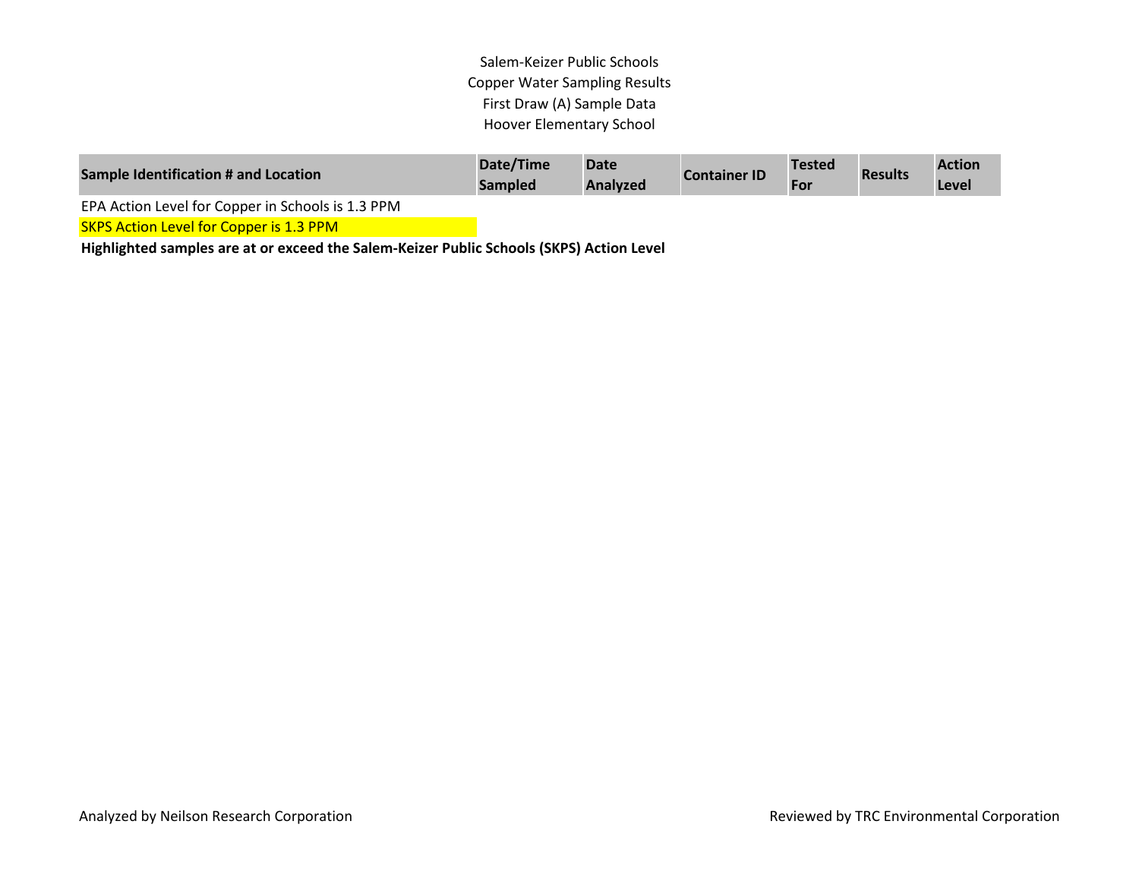Salem-Keizer Public Schools Copper Water Sampling Results First Draw (A) Sample Data Hoover Elementary School

| Sample Identification # and Location              | Date/Time<br><b>Sampled</b> | <b>Date</b><br>Analyzed | <b>Container ID</b> | <b>Tested</b><br>For | <b>Results</b> | <b>Action</b><br>Level |
|---------------------------------------------------|-----------------------------|-------------------------|---------------------|----------------------|----------------|------------------------|
| EPA Action Level for Copper in Schools is 1.3 PPM |                             |                         |                     |                      |                |                        |
| <b>SKPS Action Level for Copper is 1.3 PPM</b>    |                             |                         |                     |                      |                |                        |

**Highlighted samples are at or exceed the Salem-Keizer Public Schools (SKPS) Action Level**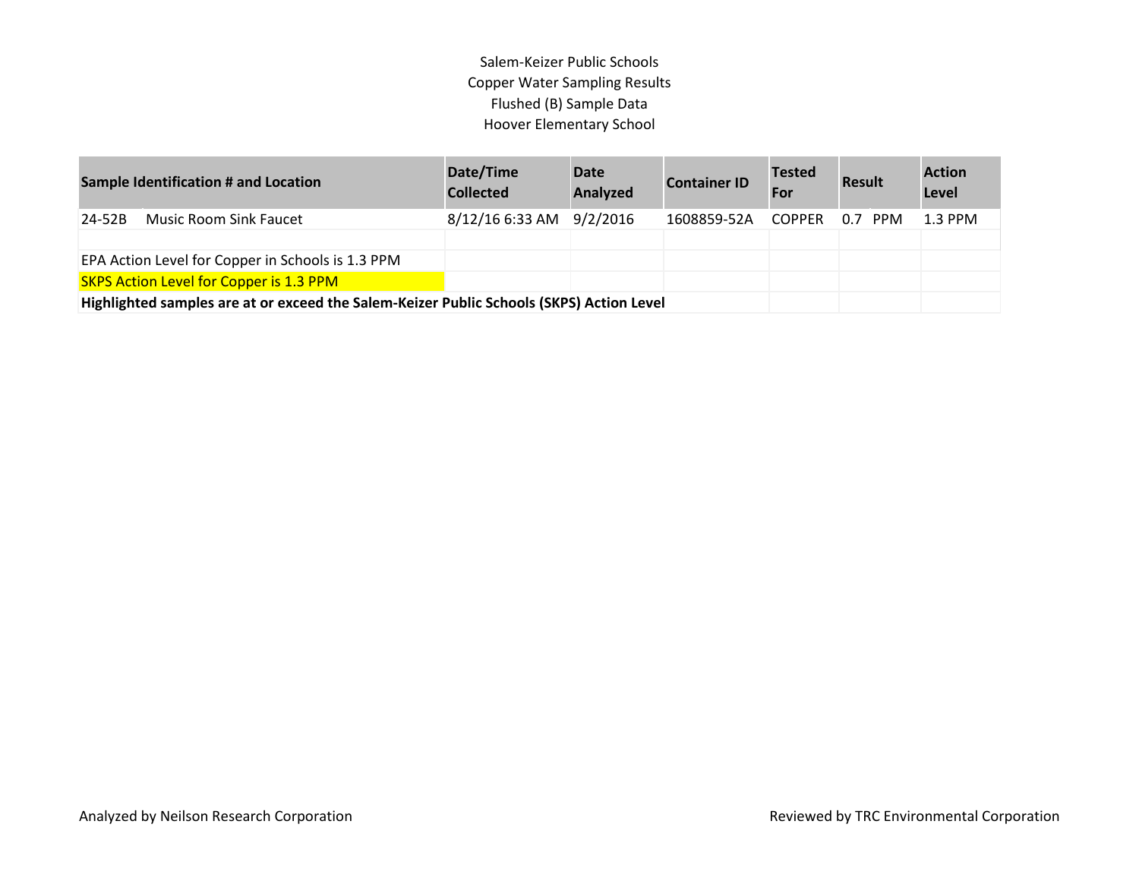## Salem-Keizer Public Schools Copper Water Sampling Results Flushed (B) Sample Data Hoover Elementary School

| <b>Sample Identification # and Location</b>                                              | Date/Time<br><b>Collected</b> | <b>Date</b><br>Analyzed | <b>Container ID</b> | <b>Tested</b><br>For | <b>Result</b> | <b>Action</b><br>Level |
|------------------------------------------------------------------------------------------|-------------------------------|-------------------------|---------------------|----------------------|---------------|------------------------|
| <b>Music Room Sink Faucet</b><br>24-52B                                                  | 8/12/16 6:33 AM 9/2/2016      |                         | 1608859-52A         | <b>COPPER</b>        | 0.7 PPM       | $1.3$ PPM              |
|                                                                                          |                               |                         |                     |                      |               |                        |
| EPA Action Level for Copper in Schools is 1.3 PPM                                        |                               |                         |                     |                      |               |                        |
| <b>SKPS Action Level for Copper is 1.3 PPM</b>                                           |                               |                         |                     |                      |               |                        |
| Highlighted samples are at or exceed the Salem-Keizer Public Schools (SKPS) Action Level |                               |                         |                     |                      |               |                        |